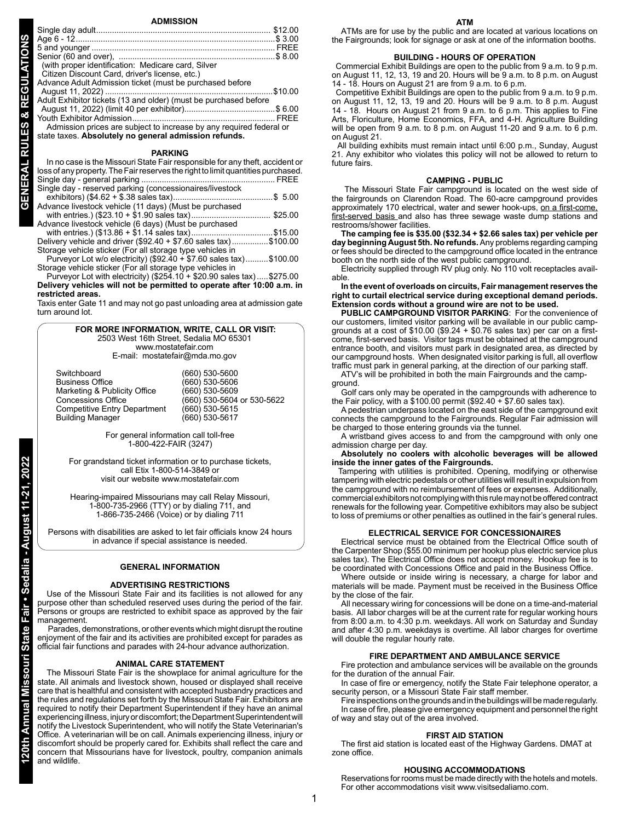| (with proper identification: Medicare card, Silver                  |             |  |  |
|---------------------------------------------------------------------|-------------|--|--|
| Citizen Discount Card, driver's license, etc.)                      |             |  |  |
| Advance Adult Admission ticket (must be purchased before            |             |  |  |
|                                                                     | \$10.00     |  |  |
| Adult Exhibitor tickets (13 and older) (must be purchased before    |             |  |  |
|                                                                     |             |  |  |
|                                                                     | <b>FRFF</b> |  |  |
| Admission prices are subject to increase by any required federal or |             |  |  |
| state taxes. Absolutely no general admission refunds.               |             |  |  |
| <b>PARKING</b>                                                      |             |  |  |

#### **PARKING**

| In no case is the Missouri State Fair responsible for any theft, accident or<br>loss of any property. The Fair reserves the right to limit quantities purchased. |  |
|------------------------------------------------------------------------------------------------------------------------------------------------------------------|--|
|                                                                                                                                                                  |  |
| Single day - reserved parking (concessionaires/livestock                                                                                                         |  |
|                                                                                                                                                                  |  |
| Advance livestock vehicle (11 days) (Must be purchased                                                                                                           |  |
|                                                                                                                                                                  |  |
| Advance livestock vehicle (6 days) (Must be purchased                                                                                                            |  |
|                                                                                                                                                                  |  |
| Delivery vehicle and driver (\$92.40 + \$7.60 sales tax)\$100.00                                                                                                 |  |
| Storage vehicle sticker (For all storage type vehicles in                                                                                                        |  |
|                                                                                                                                                                  |  |

Purveyor Lot w/o electricity) (\$92.40 + \$7.60 sales tax)..........\$100.00 Storage vehicle sticker (For all storage type vehicles in

Purveyor Lot with electricity) (\$254.10 + \$20.90 sales tax).....\$275.00 **Delivery vehicles will not be permitted to operate after 10:00 a.m. in restricted areas.**

Taxis enter Gate 11 and may not go past unloading area at admission gate turn around lot.

#### **FOR MORE INFORMATION, WRITE, CALL OR VISIT:** 2503 West 16th Street, Sedalia MO 65301 www.mostatefair.com E-mail: mostatefair@mda.mo.gov

| Switchboard                         | (660) 530-5600             |
|-------------------------------------|----------------------------|
| <b>Business Office</b>              | (660) 530-5606             |
| Marketing & Publicity Office        | (660) 530-5609             |
| <b>Concessions Office</b>           | (660) 530-5604 or 530-5622 |
| <b>Competitive Entry Department</b> | (660) 530-5615             |
| <b>Building Manager</b>             | (660) 530-5617             |

For general information call toll-free 1-800-422-FAIR (3247)

For grandstand ticket information or to purchase tickets, call Etix 1-800-514-3849 or visit our website www.mostatefair.com

Hearing-impaired Missourians may call Relay Missouri, 1-800-735-2966 (TTY) or by dialing 711, and 1-866-735-2466 (Voice) or by dialing 711

Persons with disabilities are asked to let fair officials know 24 hours in advance if special assistance is needed.

#### **GENERAL INFORMATION**

#### **ADVERTISING RESTRICTIONS**

Use of the Missouri State Fair and its facilities is not allowed for any purpose other than scheduled reserved uses during the period of the fair. Persons or groups are restricted to exhibit space as approved by the fair management.

 Parades, demonstrations, or other events which might disrupt the routine enjoyment of the fair and its activities are prohibited except for parades as official fair functions and parades with 24-hour advance authorization.

#### **ANIMAL CARE STATEMENT**

The Missouri State Fair is the showplace for animal agriculture for the state. All animals and livestock shown, housed or displayed shall receive care that is healthful and consistent with accepted husbandry practices and the rules and regulations set forth by the Missouri State Fair. Exhibitors are required to notify their Department Superintendent if they have an animal experiencing illness, injury or discomfort; the Department Superintendent will notify the Livestock Superintendent, who will notify the State Veterinarian's Office. A veterinarian will be on call. Animals experiencing illness, injury or discomfort should be properly cared for. Exhibits shall reflect the care and concern that Missourians have for livestock, poultry, companion animals and wildlife.

ATMs are for use by the public and are located at various locations on the Fairgrounds; look for signage or ask at one of the information booths.

#### **BUILDING - HOURS OF OPERATION**

 Commercial Exhibit Buildings are open to the public from 9 a.m. to 9 p.m. on August 11, 12, 13, 19 and 20. Hours will be 9 a.m. to 8 p.m. on August 14 - 18. Hours on August 21 are from 9 a.m. to 6 p.m.

 Competitive Exhibit Buildings are open to the public from 9 a.m. to 9 p.m. on August 11, 12, 13, 19 and 20. Hours will be 9 a.m. to 8 p.m. August 14 - 18. Hours on August 21 from 9 a.m. to 6 p.m. This applies to Fine Arts, Floriculture, Home Economics, FFA, and 4-H. Agriculture Building will be open from 9 a.m. to 8 p.m. on August 11-20 and 9 a.m. to 6 p.m. on August 21.

All building exhibits must remain intact until 6:00 p.m., Sunday, August 21. Any exhibitor who violates this policy will not be allowed to return to future fairs.

#### **CAMPING - PUBLIC**

 The Missouri State Fair campground is located on the west side of the fairgrounds on Clarendon Road. The 60-acre campground provides approximately 170 electrical, water and sewer hook-ups, on a first-come, first-served basis and also has three sewage waste dump stations and restrooms/shower facilities.

**The camping fee is \$35.00 (\$32.34 + \$2.66 sales tax) per vehicle per day beginning August 5th. No refunds.** Any problems regarding camping or fees should be directed to the campground office located in the entrance booth on the north side of the west public campground.

Electricity supplied through RV plug only. No 110 volt receptacles available.

**In the event of overloads on circuits, Fair management reserves the right to curtail electrical service during exceptional demand periods. Extension cords without a ground wire are not to be used.**

**PUBLIC CAMPGROUND VISITOR PARKING**: For the convenience of our customers, limited visitor parking will be available in our public campgrounds at a cost of  $$10.00$  ( $$9.24 + $0.76$  sales tax) per car on a firstcome, first-served basis. Visitor tags must be obtained at the campground entrance booth, and visitors must park in designated area, as directed by our campground hosts. When designated visitor parking is full, all overflow traffic must park in general parking, at the direction of our parking staff.

ATV's will be prohibited in both the main Fairgrounds and the camp-

ground.

Golf cars only may be operated in the campgrounds with adherence to the Fair policy, with a \$100.00 permit (\$92.40 + \$7.60 sales tax).

A pedestrian underpass located on the east side of the campground exit connects the campground to the Fairgrounds. Regular Fair admission will be charged to those entering grounds via the tunnel.

A wristband gives access to and from the campground with only one admission charge per day.

**Absolutely no coolers with alcoholic beverages will be allowed inside the inner gates of the Fairgrounds.**

Tampering with utilities is prohibited. Opening, modifying or otherwise tampering with electric pedestals or other utilities will result in expulsion from the campground with no reimbursement of fees or expenses. Additionally, commercial exhibitors not complying with this rule may not be offered contract renewals for the following year. Competitive exhibitors may also be subject to loss of premiums or other penalties as outlined in the fair's general rules.

#### **ELECTRICAL SERVICE FOR CONCESSIONAIRES**

Electrical service must be obtained from the Electrical Office south of the Carpenter Shop (\$55.00 minimum per hookup plus electric service plus sales tax). The Electrical Office does not accept money. Hookup fee is to be coordinated with Concessions Office and paid in the Business Office.

Where outside or inside wiring is necessary, a charge for labor and materials will be made. Payment must be received in the Business Office by the close of the fair.

All necessary wiring for concessions will be done on a time-and-material basis. All labor charges will be at the current rate for regular working hours from 8:00 a.m. to 4:30 p.m. weekdays. All work on Saturday and Sunday and after 4:30 p.m. weekdays is overtime. All labor charges for overtime will double the regular hourly rate.

#### **FIRE DEPARTMENT AND AMBULANCE SERVICE**

Fire protection and ambulance services will be available on the grounds for the duration of the annual Fair.

In case of fire or emergency, notify the State Fair telephone operator, a security person, or a Missouri State Fair staff member.

Fire inspections on the grounds and in the buildings will be made regularly. In case of fire, please give emergency equipment and personnel the right of way and stay out of the area involved.

#### **FIRST AID STATION**

The first aid station is located east of the Highway Gardens. DMAT at zone office.

#### **HOUSING ACCOMMODATIONS**

Reservations for rooms must be made directly with the hotels and motels. For other accommodations visit www.visitsedaliamo.com.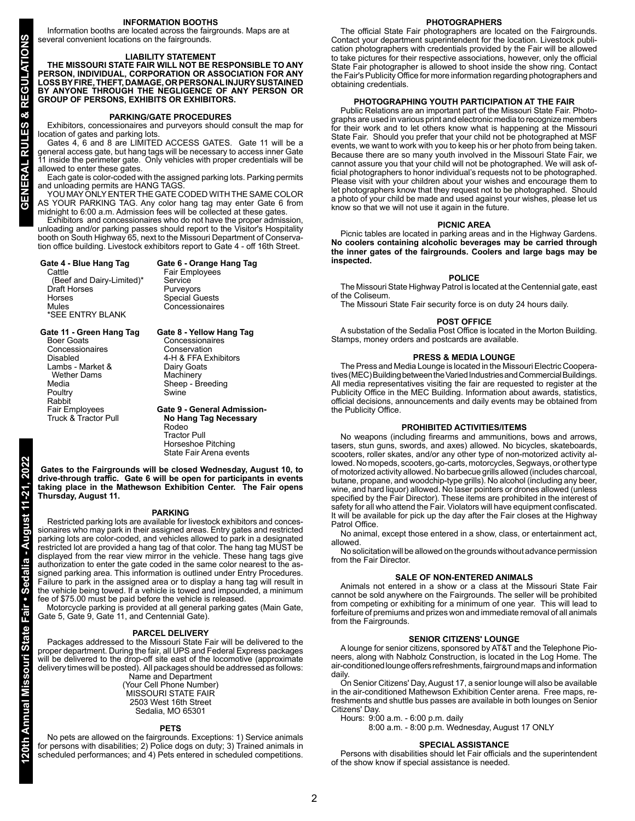#### **INFORMATION BOOTHS**

Information booths are located across the fairgrounds. Maps are at several convenient locations on the fairgrounds.

#### **LIABILITY STATEMENT**

**THE MISSOURI STATE FAIR WILL NOT BE RESPONSIBLE TO ANY PERSON, INDIVIDUAL, CORPORATION OR ASSOCIATION FOR ANY LOSS BY FIRE, THEFT, DAMAGE, OR PERSONAL INJURY SUSTAINED BY ANYONE THROUGH THE NEGLIGENCE OF ANY PERSON OR GROUP OF PERSONS, EXHIBITS OR EXHIBITORS.**

#### **PARKING/GATE PROCEDURES**

Exhibitors, concessionaires and purveyors should consult the map for location of gates and parking lots.

Gates 4, 6 and 8 are LIMITED ACCESS GATES. Gate 11 will be a general access gate, but hang tags will be necessary to access inner Gate 11 inside the perimeter gate. Only vehicles with proper credentials will be allowed to enter these gates.

Each gate is color-coded with the assigned parking lots. Parking permits and unloading permits are HANG TAGS.

YOU MAY ONLY ENTER THE GATE CODED WITH THE SAME COLOR AS YOUR PARKING TAG. Any color hang tag may enter Gate 6 from midnight to 6:00 a.m. Admission fees will be collected at these gates.

Exhibitors and concessionaires who do not have the proper admission, unloading and/or parking passes should report to the Visitor's Hospitality booth on South Highway 65, next to the Missouri Department of Conservation office building. Livestock exhibitors report to Gate 4 - off 16th Street.

# **Gate 4 - Blue Hang Tag Gate 6 - Orange Hang Tag**

 (Beef and Dairy-Limited)\* Service Draft Horses<br>Horses Horses Special Guests \*SEE ENTRY BLANK

# Concessionaires

Concessionaires<br>Conservation

Fair Employees<br>Service

**Gate 11 - Green Hang Tag Gate 8 - Yellow Hang Tag** Concessionaires<br>Disabled Lambs - Market & Dairy Goat<br>Wether Dams Machinery Wether Dams<br>Media Poultry Rabbit<br>Fair Employees

4-H & FFA Exhibitors<br>Dairy Goats Sheep - Breeding<br>Swine Fair Employees **Gate 9 - General Admission-**

**No Hang Tag Necessary** Rodeo Tractor Pull Horseshoe Pitching State Fair Arena events

 **Gates to the Fairgrounds will be closed Wednesday, August 10, to drive-through traffic. Gate 6 will be open for participants in events taking place in the Mathewson Exhibition Center. The Fair opens Thursday, August 11.**

#### **PARKING**

Restricted parking lots are available for livestock exhibitors and concessionaires who may park in their assigned areas. Entry gates and restricted parking lots are color-coded, and vehicles allowed to park in a designated restricted lot are provided a hang tag of that color. The hang tag MUST be displayed from the rear view mirror in the vehicle. These hang tags give authorization to enter the gate coded in the same color nearest to the assigned parking area. This information is outlined under Entry Procedures. Failure to park in the assigned area or to display a hang tag will result in the vehicle being towed. If a vehicle is towed and impounded, a minimum fee of \$75.00 must be paid before the vehicle is released.

Motorcycle parking is provided at all general parking gates (Main Gate, Gate 5, Gate 9, Gate 11, and Centennial Gate).

#### **PARCEL DELIVERY**

Packages addressed to the Missouri State Fair will be delivered to the proper department. During the fair, all UPS and Federal Express packages will be delivered to the drop-off site east of the locomotive (approximate delivery times will be posted). All packages should be addressed as follows: Name and Department

(Your Cell Phone Number) MISSOURI STATE FAIR 2503 West 16th Street Sedalia, MO 65301

#### **PETS**

No pets are allowed on the fairgrounds. Exceptions: 1) Service animals for persons with disabilities; 2) Police dogs on duty; 3) Trained animals in scheduled performances; and 4) Pets entered in scheduled competitions.

**PHOTOGRAPHERS**

The official State Fair photographers are located on the Fairgrounds. Contact your department superintendent for the location. Livestock publication photographers with credentials provided by the Fair will be allowed to take pictures for their respective associations, however, only the official State Fair photographer is allowed to shoot inside the show ring. Contact the Fair's Publicity Office for more information regarding photographers and obtaining credentials.

#### **PHOTOGRAPHING YOUTH PARTICIPATION AT THE FAIR**

Public Relations are an important part of the Missouri State Fair. Photographs are used in various print and electronic media to recognize members for their work and to let others know what is happening at the Missouri State Fair. Should you prefer that your child not be photographed at MSF events, we want to work with you to keep his or her photo from being taken. Because there are so many youth involved in the Missouri State Fair, we cannot assure you that your child will not be photographed. We will ask official photographers to honor individual's requests not to be photographed. Please visit with your children about your wishes and encourage them to let photographers know that they request not to be photographed. Should a photo of your child be made and used against your wishes, please let us know so that we will not use it again in the future.

#### **PICNIC AREA**

Picnic tables are located in parking areas and in the Highway Gardens. **No coolers containing alcoholic beverages may be carried through the inner gates of the fairgrounds. Coolers and large bags may be inspected.**

#### **POLICE**

The Missouri State Highway Patrol is located at the Centennial gate, east of the Coliseum.

The Missouri State Fair security force is on duty 24 hours daily.

#### **POST OFFICE**

A substation of the Sedalia Post Office is located in the Morton Building. Stamps, money orders and postcards are available.

#### **PRESS & MEDIA LOUNGE**

The Press and Media Lounge is located in the Missouri Electric Cooperatives (MEC) Building between the Varied Industries and Commercial Buildings. All media representatives visiting the fair are requested to register at the Publicity Office in the MEC Building. Information about awards, statistics, official decisions, announcements and daily events may be obtained from the Publicity Office.

#### **PROHIBITED ACTIVITIES/ITEMS**

No weapons (including firearms and ammunitions, bows and arrows, tasers, stun guns, swords, and axes) allowed. No bicycles, skateboards, scooters, roller skates, and/or any other type of non-motorized activity allowed. No mopeds, scooters, go-carts, motorcycles, Segways, or other type of motorized activity allowed. No barbecue grills allowed (includes charcoal, butane, propane, and woodchip-type grills). No alcohol (including any beer, wine, and hard liquor) allowed. No laser pointers or drones allowed (unless specified by the Fair Director). These items are prohibited in the interest of safety for all who attend the Fair. Violators will have equipment confiscated. It will be available for pick up the day after the Fair closes at the Highway Patrol Office.

No animal, except those entered in a show, class, or entertainment act, allowed.

No solicitation will be allowed on the grounds without advance permission from the Fair Director.

#### **SALE OF NON-ENTERED ANIMALS**

Animals not entered in a show or a class at the Missouri State Fair cannot be sold anywhere on the Fairgrounds. The seller will be prohibited from competing or exhibiting for a minimum of one year. This will lead to forfeiture of premiums and prizes won and immediate removal of all animals from the Fairgrounds.

#### **SENIOR CITIZENS' LOUNGE**

A lounge for senior citizens, sponsored by AT&T and the Telephone Pioneers, along with Nabholz Construction, is located in the Log Home. The air-conditioned lounge offers refreshments, fairground maps and information daily

On Senior Citizens' Day, August 17, a senior lounge will also be available in the air-conditioned Mathewson Exhibition Center arena. Free maps, refreshments and shuttle bus passes are available in both lounges on Senior Citizens' Day.

Hours: 9:00 a.m. - 6:00 p.m. daily 8:00 a.m. - 8:00 p.m. Wednesday, August 17 ONLY

# **SPECIAL ASSISTANCE**

Persons with disabilities should let Fair officials and the superintendent of the show know if special assistance is needed.

**120th Annual Missouri State Fair • Sedalia - August 11-21, 2022**

ທ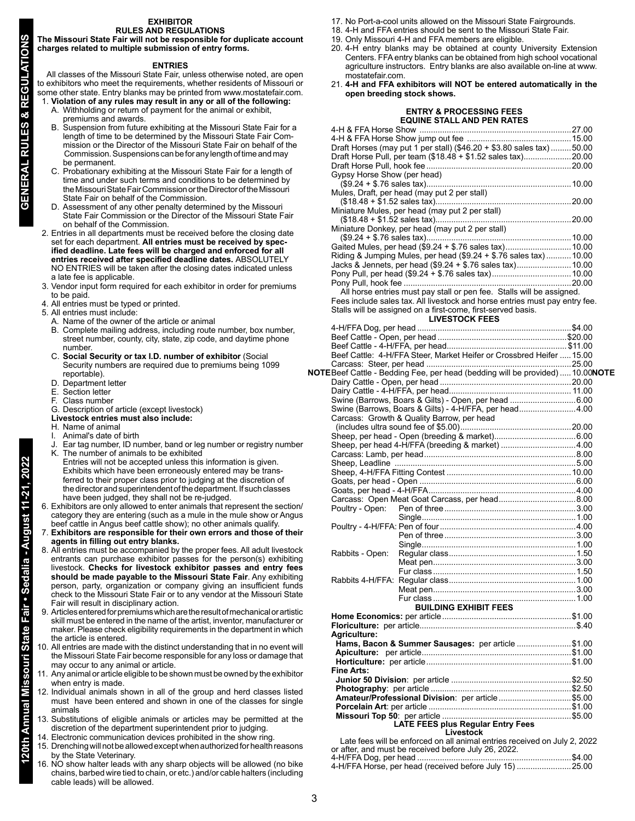# **EXHIBITOR**

**RULES AND REGULATIONS**

**The Missouri State Fair will not be responsible for duplicate account charges related to multiple submission of entry forms.**

#### **ENTRIES**

All classes of the Missouri State Fair, unless otherwise noted, are open to exhibitors who meet the requirements, whether residents of Missouri or some other state. Entry blanks may be printed from www.mostatefair.com.

- 1. **Violation of any rules may result in any or all of the following:** A. Withholding or return of payment for the animal or exhibit,
	- premiums and awards. B. Suspension from future exhibiting at the Missouri State Fair for a length of time to be determined by the Missouri State Fair Commission or the Director of the Missouri State Fair on behalf of the Commission. Suspensions can be for any length of time and may be permanent.
	- C. Probationary exhibiting at the Missouri State Fair for a length of time and under such terms and conditions to be determined by the Missouri State Fair Commission or the Director of the Missouri
	- State Fair on behalf of the Commission.<br>D. Assessment of any other penalty detern Assessment of any other penalty determined by the Missouri State Fair Commission or the Director of the Missouri State Fair on behalf of the Commission.
- 2. Entries in all departments must be received before the closing date set for each department. **All entries must be received by specified deadline. Late fees will be charged and enforced for all entries received after specified deadline dates.** ABSOLUTELY NO ENTRIES will be taken after the closing dates indicated unless a late fee is applicable.
- 3. Vendor input form required for each exhibitor in order for premiums to be paid.
- 4. All entries must be typed or printed.
- 5. All entries must include:
- A. Name of the owner of the article or animal
- B. Complete mailing address, including route number, box number, street number, county, city, state, zip code, and daytime phone number.
- C. **Social Security or tax I.D. number of exhibitor** (Social Security numbers are required due to premiums being 1099 reportable).
- D. Department letter
- E. Section letter<br>F. Class number
- Class number
- G. Description of article (except livestock)
- **Livestock entries must also include:**
- H. Name of animal
- I. Animal's date of birth
- Ear tag number, ID number, band or leg number or registry number K. The number of animals to be exhibited
- Entries will not be accepted unless this information is given. Exhibits which have been erroneously entered may be trans ferred to their proper class prior to judging at the discretion of the director and superintendent of the department. If such classes have been judged, they shall not be re-judged.
- 6. Exhibitors are only allowed to enter animals that represent the section/ category they are entering (such as a mule in the mule show or Angus beef cattle in Angus beef cattle show); no other animals qualify.
- 7. **Exhibitors are responsible for their own errors and those of their agents in filling out entry blanks.**
- 8. All entries must be accompanied by the proper fees. All adult livestock entrants can purchase exhibitor passes for the person(s) exhibiting livestock. **Checks for livestock exhibitor passes and entry fees should be made payable to the Missouri State Fair**. Any exhibiting person, party, organization or company giving an insufficient funds check to the Missouri State Fair or to any vendor at the Missouri State Fair will result in disciplinary action.
- 9. Articles entered for premiums which are the result of mechanical or artistic skill must be entered in the name of the artist, inventor, manufacturer or maker. Please check eligibility requirements in the department in which the article is entered.
- 10. All entries are made with the distinct understanding that in no event will the Missouri State Fair become responsible for any loss or damage that may occur to any animal or article.
- 11. Any animal or article eligible to be shown must be owned by the exhibitor when entry is made.
- 12. Individual animals shown in all of the group and herd classes listed must have been entered and shown in one of the classes for single animals
- 13. Substitutions of eligible animals or articles may be permitted at the discretion of the department superintendent prior to judging.
- 14. Electronic communication devices prohibited in the show ring.
- 15. Drenching will not be allowed except when authorized for health reasons by the State Veterinary.
- 16. NO show halter leads with any sharp objects will be allowed (no bike chains, barbed wire tied to chain, or etc.) and/or cable halters (including cable leads) will be allowed.
- 17. No Port-a-cool units allowed on the Missouri State Fairgrounds.
- 18. 4-H and FFA entries should be sent to the Missouri State Fair.
- 19. Only Missouri 4-H and FFA members are eligible.
- 20. 4-H entry blanks may be obtained at county University Extension Centers. FFA entry blanks can be obtained from high school vocational agriculture instructors. Entry blanks are also available on-line at www. mostatefair.com.
- 21. **4-H and FFA exhibitors will NOT be entered automatically in the open breeding stock shows.**

### **ENTRY & PROCESSING FEES EQUINE STALL AND PEN RATES**

|                             | EQUINE STALL AND PEN RATES                                                                            |  |
|-----------------------------|-------------------------------------------------------------------------------------------------------|--|
|                             |                                                                                                       |  |
|                             |                                                                                                       |  |
|                             | Draft Horses (may put 1 per stall) (\$46.20 + \$3.80 sales tax) 50.00                                 |  |
|                             | Draft Horse Pull, per team (\$18.48 + \$1.52 sales tax)20.00                                          |  |
|                             |                                                                                                       |  |
| Gypsy Horse Show (per head) |                                                                                                       |  |
|                             |                                                                                                       |  |
|                             | Mules, Draft, per head (may put 2 per stall)                                                          |  |
|                             |                                                                                                       |  |
|                             | Miniature Mules, per head (may put 2 per stall)                                                       |  |
|                             |                                                                                                       |  |
|                             | Miniature Donkey, per head (may put 2 per stall)                                                      |  |
|                             |                                                                                                       |  |
|                             | Gaited Mules, per head (\$9.24 + \$.76 sales tax) 10.00                                               |  |
|                             | Riding & Jumping Mules, per head (\$9.24 + \$.76 sales tax)  10.00                                    |  |
|                             | Jacks & Jennets, per head (\$9.24 + \$.76 sales tax) 10.00                                            |  |
|                             |                                                                                                       |  |
|                             |                                                                                                       |  |
|                             | All horse entries must pay stall or pen fee. Stalls will be assigned.                                 |  |
|                             |                                                                                                       |  |
|                             | Fees include sales tax. All livestock and horse entries must pay entry fee.                           |  |
|                             | Stalls will be assigned on a first-come, first-served basis.                                          |  |
|                             | <b>LIVESTOCK FEES</b>                                                                                 |  |
|                             |                                                                                                       |  |
|                             |                                                                                                       |  |
|                             |                                                                                                       |  |
|                             | Beef Cattle: 4-H/FFA Steer, Market Heifer or Crossbred Heifer  15.00                                  |  |
|                             |                                                                                                       |  |
|                             | $\mathsf{NOTE}$ Beef Cattle - Bedding Fee, per head (bedding will be provided)  10.00 $\mathsf{NOTE}$ |  |
|                             |                                                                                                       |  |
|                             |                                                                                                       |  |
|                             | Swine (Barrows, Boars & Gilts) - Open, per head 6.00                                                  |  |
|                             | Swine (Barrows, Boars & Gilts) - 4-H/FFA, per head4.00                                                |  |
|                             | Carcass: Growth & Quality Barrow, per head                                                            |  |
|                             |                                                                                                       |  |
|                             |                                                                                                       |  |
|                             | Sheep, per head 4-H/FFA (breeding & market)  4.00                                                     |  |
|                             |                                                                                                       |  |
|                             |                                                                                                       |  |
|                             |                                                                                                       |  |
|                             |                                                                                                       |  |
|                             |                                                                                                       |  |
|                             |                                                                                                       |  |
|                             |                                                                                                       |  |
|                             |                                                                                                       |  |
|                             |                                                                                                       |  |
|                             |                                                                                                       |  |
|                             |                                                                                                       |  |
| Rabbits - Open:             |                                                                                                       |  |
|                             |                                                                                                       |  |
|                             |                                                                                                       |  |
|                             |                                                                                                       |  |
|                             |                                                                                                       |  |
|                             |                                                                                                       |  |
|                             |                                                                                                       |  |
|                             | <b>BUILDING EXHIBIT FEES</b>                                                                          |  |
|                             |                                                                                                       |  |
|                             |                                                                                                       |  |
| <b>Agriculture:</b>         |                                                                                                       |  |
|                             | Hams, Bacon & Summer Sausages: per article \$1.00                                                     |  |
|                             |                                                                                                       |  |
|                             |                                                                                                       |  |
| Fine Arts:                  |                                                                                                       |  |
|                             |                                                                                                       |  |
|                             |                                                                                                       |  |
|                             | Amateur/Professional Division: per article\$5.00                                                      |  |
|                             |                                                                                                       |  |
|                             |                                                                                                       |  |
|                             | LATE FEES plus Regular Entry Fees                                                                     |  |
|                             | <b>Livestock</b>                                                                                      |  |

**Livestock** Late fees will be enforced on all animal entries received on July 2, 2022 or after, and must be received before July 26, 2022. 4-H/FFA Dog, per head ............................ 4-H/FFA Horse, per head (received before July 15) ........................25.00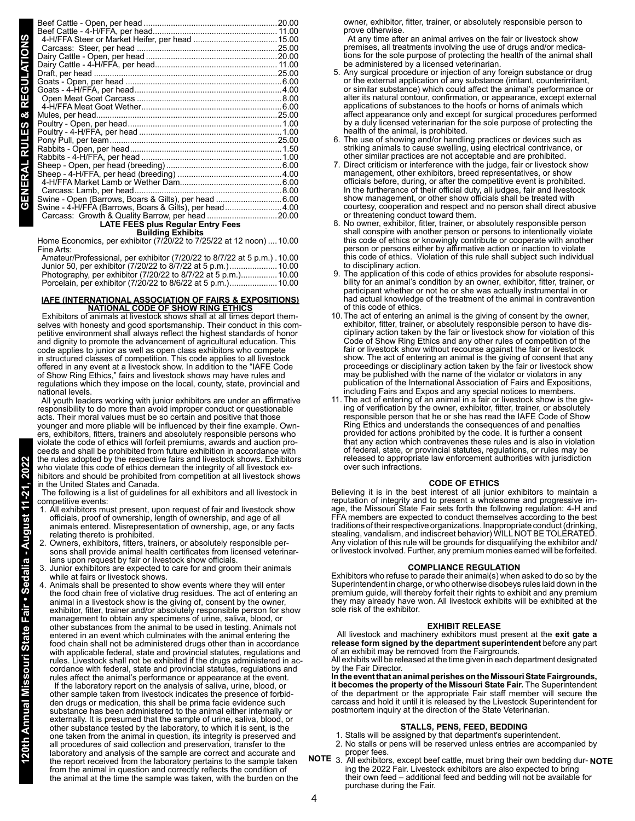| Swine - Open (Barrows, Boars & Gilts), per head 6.00   |  |  |  |  |
|--------------------------------------------------------|--|--|--|--|
| Swine - 4-H/FFA (Barrows, Boars & Gilts), per head4.00 |  |  |  |  |
|                                                        |  |  |  |  |
| <b>LATE FEES plus Regular Entry Fees</b>               |  |  |  |  |
| <b>Building Exhibits</b>                               |  |  |  |  |

**Building Exhibits**<br>Home Economics, per exhibitor (7/20/22 to 7/25/22 at 12 noon) ....10.00 Fine Arts:

| Amateur/Professional, per exhibitor (7/20/22 to 8/7/22 at 5 p.m.) 10.00 |  |
|-------------------------------------------------------------------------|--|
| Junior 50, per exhibitor (7/20/22 to 8/7/22 at 5 p.m.)10.00             |  |
| Photography, per exhibitor (7/20/22 to 8/7/22 at 5 p.m.)10.00           |  |
|                                                                         |  |

#### **IAFE (INTERNATIONAL ASSOCIATION OF FAIRS & EXPOSITIONS) NATIONAL CODE OF SHOW RING ETHICS**

 Exhibitors of animals at livestock shows shall at all times deport themselves with honesty and good sportsmanship. Their conduct in this competitive environment shall always reflect the highest standards of honor and dignity to promote the advancement of agricultural education. This code applies to junior as well as open class exhibitors who compete in structured classes of competition. This code applies to all livestock offered in any event at a livestock show. In addition to the "IAFE Code of Show Ring Ethics," fairs and livestock shows may have rules and regulations which they impose on the local, county, state, provincial and national levels.

 All youth leaders working with junior exhibitors are under an affirmative responsibility to do more than avoid improper conduct or questionable acts. Their moral values must be so certain and positive that those younger and more pliable will be influenced by their fine example. Owners, exhibitors, fitters, trainers and absolutely responsible persons who violate the code of ethics will forfeit premiums, awards and auction proceeds and shall be prohibited from future exhibition in accordance with the rules adopted by the respective fairs and livestock shows. Exhibitors who violate this code of ethics demean the integrity of all livestock exhibitors and should be prohibited from competition at all livestock shows in the United States and Canada.

 The following is a list of guidelines for all exhibitors and all livestock in competitive events:

- 1. All exhibitors must present, upon request of fair and livestock show officials, proof of ownership, length of ownership, and age of all animals entered. Misrepresentation of ownership, age, or any facts relating thereto is prohibited.
- 2. Owners, exhibitors, fitters, trainers, or absolutely responsible persons shall provide animal health certificates from licensed veterinarians upon request by fair or livestock show officials.
- 3. Junior exhibitors are expected to care for and groom their animals while at fairs or livestock shows.
- 4. Animals shall be presented to show events where they will enter the food chain free of violative drug residues. The act of entering an animal in a livestock show is the giving of, consent by the owner, exhibitor, fitter, trainer and/or absolutely responsible person for show management to obtain any specimens of urine, saliva, blood, or other substances from the animal to be used in testing. Animals not entered in an event which culminates with the animal entering the food chain shall not be administered drugs other than in accordance with applicable federal, state and provincial statutes, regulations and rules. Livestock shall not be exhibited if the drugs administered in accordance with federal, state and provincial statutes, regulations and rules affect the animal's performance or appearance at the event.

 If the laboratory report on the analysis of saliva, urine, blood, or other sample taken from livestock indicates the presence of forbidden drugs or medication, this shall be prima facie evidence such substance has been administered to the animal either internally or externally. It is presumed that the sample of urine, saliva, blood, or other substance tested by the laboratory, to which it is sent, is the one taken from the animal in question, its integrity is preserved and all procedures of said collection and preservation, transfer to the laboratory and analysis of the sample are correct and accurate and the report received from the laboratory pertains to the sample taken from the animal in question and correctly reflects the condition of the animal at the time the sample was taken, with the burden on the owner, exhibitor, fitter, trainer, or absolutely responsible person to prove otherwise.

 At any time after an animal arrives on the fair or livestock show premises, all treatments involving the use of drugs and/or medications for the sole purpose of protecting the health of the animal shall be administered by a licensed veterinarian.

- 5. Any surgical procedure or injection of any foreign substance or drug or the external application of any substance (irritant, counterirritant, or similar substance) which could affect the animal's performance or alter its natural contour, confirmation, or appearance, except external applications of substances to the hoofs or horns of animals which affect appearance only and except for surgical procedures performed by a duly licensed veterinarian for the sole purpose of protecting the health of the animal, is prohibited.
- 6. The use of showing and/or handling practices or devices such as striking animals to cause swelling, using electrical contrivance, or other similar practices are not acceptable and are prohibited.
- 7. Direct criticism or interference with the judge, fair or livestock show management, other exhibitors, breed representatives, or show officials before, during, or after the competitive event is prohibited. In the furtherance of their official duty, all judges, fair and livestock show management, or other show officials shall be treated with courtesy, cooperation and respect and no person shall direct abusive or threatening conduct toward them.
- 8. No owner, exhibitor, fitter, trainer, or absolutely responsible person shall conspire with another person or persons to intentionally violate this code of ethics or knowingly contribute or cooperate with another person or persons either by affirmative action or inaction to violate this code of ethics. Violation of this rule shall subject such individual to disciplinary action.
- 9. The application of this code of ethics provides for absolute responsibility for an animal's condition by an owner, exhibitor, fitter, trainer, or participant whether or not he or she was actually instrumental in or had actual knowledge of the treatment of the animal in contravention of this code of ethics.
- 10.The act of entering an animal is the giving of consent by the owner, exhibitor, fitter, trainer, or absolutely responsible person to have disciplinary action taken by the fair or livestock show for violation of this Code of Show Ring Ethics and any other rules of competition of the fair or livestock show without recourse against the fair or livestock show. The act of entering an animal is the giving of consent that any proceedings or disciplinary action taken by the fair or livestock show may be published with the name of the violator or violators in any publication of the International Association of Fairs and Expositions, including Fairs and Expos and any special notices to members.
- 11. The act of entering of an animal in a fair or livestock show is the giving of verification by the owner, exhibitor, fitter, trainer, or absolutely responsible person that he or she has read the IAFE Code of Show Ring Ethics and understands the consequences of and penalties provided for actions prohibited by the code. It is further a consent that any action which contravenes these rules and is also in violation of federal, state, or provincial statutes, regulations, or rules may be released to appropriate law enforcement authorities with jurisdiction over such infractions.

#### **CODE OF ETHICS**

Believing it is in the best interest of all junior exhibitors to maintain a reputation of integrity and to present a wholesome and progressive image, the Missouri State Fair sets forth the following regulation: 4-H and FFA members are expected to conduct themselves according to the best traditions of their respective organizations. Inappropriate conduct (drinking, stealing, vandalism, and indiscreet behavior) WILL NOT BE TOLERATED. Any violation of this rule will be grounds for disqualifying the exhibitor and/ or livestock involved. Further, any premium monies earned will be forfeited.

#### **COMPLIANCE REGULATION**

Exhibitors who refuse to parade their animal(s) when asked to do so by the Superintendent in charge, or who otherwise disobeys rules laid down in the premium guide, will thereby forfeit their rights to exhibit and any premium they may already have won. All livestock exhibits will be exhibited at the sole risk of the exhibitor.

#### **EXHIBIT RELEASE**

 All livestock and machinery exhibitors must present at the **exit gate a release form signed by the department superintendent** before any part of an exhibit may be removed from the Fairgrounds.

All exhibits will be released at the time given in each department designated by the Fair Director.

**In the event that an animal perishes on the Missouri State Fairgrounds, it becomes the property of the Missouri State Fair.** The Superintendent of the department or the appropriate Fair staff member will secure the carcass and hold it until it is released by the Livestock Superintendent for postmortem inquiry at the direction of the State Veterinarian.

#### **STALLS, PENS, FEED, BEDDING**

- 1. Stalls will be assigned by that department's superintendent.
- 2. No stalls or pens will be reserved unless entries are accompanied by proper fees.
- 3. All exhibitors, except beef cattle, must bring their own bedding dur-**NOTE NOTE**ing the 2022 Fair. Livestock exhibitors are also expected to bring their own feed – additional feed and bedding will not be available for purchase during the Fair.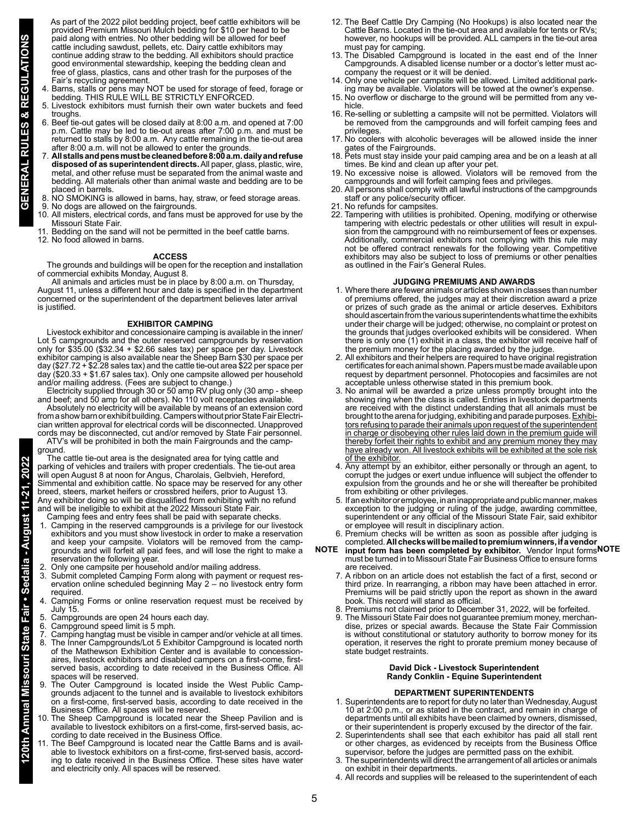As part of the 2022 pilot bedding project, beef cattle exhibitors will be provided Premium Missouri Mulch bedding for \$10 per head to be paid along with entries. No other bedding will be allowed for beef cattle including sawdust, pellets, etc. Dairy cattle exhibitors may continue adding straw to the bedding. All exhibitors should practice good environmental stewardship, keeping the bedding clean and free of glass, plastics, cans and other trash for the purposes of the Fair's recycling agreement.

- 4. Barns, stalls or pens may NOT be used for storage of feed, forage or bedding. THIS RULE WILL BE STRICTLY ENFORCED.
- 5. Livestock exhibitors must furnish their own water buckets and feed troughs.
- 6. Beef tie-out gates will be closed daily at 8:00 a.m. and opened at 7:00 p.m. Cattle may be led to tie-out areas after 7:00 p.m. and must be returned to stalls by 8:00 a.m. Any cattle remaining in the tie-out area after 8:00 a.m. will not be allowed to enter the grounds.
- 7. **All stalls and pens must be cleaned before 8:00 a.m. daily and refuse disposed of as superintendent directs.** All paper, glass, plastic, wire, metal, and other refuse must be separated from the animal waste and bedding. All materials other than animal waste and bedding are to be placed in barrels.
- 8. NO SMOKING is allowed in barns, hay, straw, or feed storage areas.
- 9. No dogs are allowed on the fairgrounds.
- 10. All misters, electrical cords, and fans must be approved for use by the Missouri State Fair.
- 11. Bedding on the sand will not be permitted in the beef cattle barns. 12. No food allowed in barns.

### **ACCESS**

The grounds and buildings will be open for the reception and installation of commercial exhibits Monday, August 8.

All animals and articles must be in place by 8:00 a.m. on Thursday, August 11, unless a different hour and date is specified in the department concerned or the superintendent of the department believes later arrival is justified.

#### **EXHIBITOR CAMPING**

Livestock exhibitor and concessionaire camping is available in the inner/ Lot 5 campgrounds and the outer reserved campgrounds by reservation only for \$35.00 (\$32.34 + \$2.66 sales tax) per space per day. Livestock exhibitor camping is also available near the Sheep Barn \$30 per space per day (\$27.72 + \$2.28 sales tax) and the cattle tie-out area \$22 per space per day (\$20.33 + \$1.67 sales tax). Only one campsite allowed per household and/or mailing address. (Fees are subject to change.)

Electricity supplied through 30 or 50 amp RV plug only (30 amp - sheep and beef; and 50 amp for all others). No 110 volt receptacles available. Absolutely no electricity will be available by means of an extension cord from a show barn or exhibit building. Campers without prior State Fair Electrician written approval for electrical cords will be disconnected. Unapproved

cords may be disconnected, cut and/or removed by State Fair personnel. ATV's will be prohibited in both the main Fairgrounds and the campground.

The cattle tie-out area is the designated area for tying cattle and parking of vehicles and trailers with proper credentials. The tie-out area will open August 8 at noon for Angus, Charolais, Gelbvieh, Hereford, Simmental and exhibition cattle. No space may be reserved for any other breed, steers, market heifers or crossbred heifers, prior to August 13. Any exhibitor doing so will be disqualified from exhibiting with no refund and will be ineligible to exhibit at the 2022 Missouri State Fair.

- Camping fees and entry fees shall be paid with separate checks. 1. Camping in the reserved campgrounds is a privilege for our livestock exhibitors and you must show livestock in order to make a reservation and keep your campsite. Violators will be removed from the campgrounds and will forfeit all paid fees, and will lose the right to make a reservation the following year.
- 2. Only one campsite per household and/or mailing address.
- 3. Submit completed Camping Form along with payment or request reservation online scheduled beginning May 2 – no livestock entry form required.
- 4. Camping Forms or online reservation request must be received by July 15.
- 5. Campgrounds are open 24 hours each day.
- 6. Campground speed limit is 5 mph.

**120th Annual Missouri State Fair • Sedalia - August 11-21, 2022**

- Camping hangtag must be visible in camper and/or vehicle at all times. The Inner Campgrounds/Lot 5 Exhibitor Campground is located north of the Mathewson Exhibition Center and is available to concessionaires, livestock exhibitors and disabled campers on a first-come, firstserved basis, according to date received in the Business Office. All spaces will be reserved.
- 9. The Outer Campground is located inside the West Public Campgrounds adjacent to the tunnel and is available to livestock exhibitors on a first-come, first-served basis, according to date received in the Business Office. All spaces will be reserved.
- 10. The Sheep Campground is located near the Sheep Pavilion and is available to livestock exhibitors on a first-come, first-served basis, according to date received in the Business Office.
- 11. The Beef Campground is located near the Cattle Barns and is available to livestock exhibitors on a first-come, first-served basis, according to date received in the Business Office. These sites have water and electricity only. All spaces will be reserved.
- 12. The Beef Cattle Dry Camping (No Hookups) is also located near the Cattle Barns. Located in the tie-out area and available for tents or RVs; however, no hookups will be provided. ALL campers in the tie-out area must pay for camping.
- 13. The Disabled Campground is located in the east end of the Inner Campgrounds. A disabled license number or a doctor's letter must accompany the request or it will be denied.
- 14. Only one vehicle per campsite will be allowed. Limited additional parking may be available. Violators will be towed at the owner's expense.
- 15. No overflow or discharge to the ground will be permitted from any vehicle.
- 16. Re-selling or subletting a campsite will not be permitted. Violators will be removed from the campgrounds and will forfeit camping fees and privileges.
- 17. No coolers with alcoholic beverages will be allowed inside the inner gates of the Fairgrounds.
- 18. Pets must stay inside your paid camping area and be on a leash at all times. Be kind and clean up after your pet.
- 19. No excessive noise is allowed. Violators will be removed from the campgrounds and will forfeit camping fees and privileges.
- 20. All persons shall comply with all lawful instructions of the campgrounds staff or any police/security officer.
- 21. No refunds for campsites.
- 22. Tampering with utilities is prohibited. Opening, modifying or otherwise tampering with electric pedestals or other utilities will result in expulsion from the campground with no reimbursement of fees or expenses. Additionally, commercial exhibitors not complying with this rule may not be offered contract renewals for the following year. Competitive exhibitors may also be subject to loss of premiums or other penalties as outlined in the Fair's General Rules.

#### **JUDGING PREMIUMS AND AWARDS**

- 1. Where there are fewer animals or articles shown in classes than number of premiums offered, the judges may at their discretion award a prize or prizes of such grade as the animal or article deserves. Exhibitors should ascertain from the various superintendents what time the exhibits under their charge will be judged; otherwise, no complaint or protest on the grounds that judges overlooked exhibits will be considered. When there is only one (1) exhibit in a class, the exhibitor will receive half of the premium money for the placing awarded by the judge.
- 2. All exhibitors and their helpers are required to have original registration certificates for each animal shown. Papers must be made available upon request by department personnel. Photocopies and facsimiles are not acceptable unless otherwise stated in this premium book.
- 3. No animal will be awarded a prize unless promptly brought into the showing ring when the class is called. Entries in livestock departments are received with the distinct understanding that all animals must be brought to the arena for judging, exhibiting and parade purposes. Exhibitors refusing to parade their animals upon request of the superintendent in charge or disobeying other rules laid down in the premium guide will thereby forfeit their rights to exhibit and any premium money they may have already won. All livestock exhibits will be exhibited at the sole risk of the exhibitor.
- 4. Any attempt by an exhibitor, either personally or through an agent, to corrupt the judges or exert undue influence will subject the offender to expulsion from the grounds and he or she will thereafter be prohibited from exhibiting or other privileges.
- 5. If an exhibitor or employee, in an inappropriate and public manner, makes exception to the judging or ruling of the judge, awarding committee, superintendent or any official of the Missouri State Fair, said exhibitor or employee will result in disciplinary action.
- 6. Premium checks will be written as soon as possible after judging is completed. **All checks will be mailed to premium winners, if a vendor**
- **NOTE** input form has been completed by exhibitor. Vendor Input forms NOTE must be turned in to Missouri State Fair Business Office to ensure forms are received.
	- 7. A ribbon on an article does not establish the fact of a first, second or third prize. In rearranging, a ribbon may have been attached in error. Premiums will be paid strictly upon the report as shown in the award book. This record will stand as official.
	- 8. Premiums not claimed prior to December 31, 2022, will be forfeited.
	- 9. The Missouri State Fair does not guarantee premium money, merchandise, prizes or special awards. Because the State Fair Commission is without constitutional or statutory authority to borrow money for its operation, it reserves the right to prorate premium money because of state budget restraints.

#### **David Dick - Livestock Superintendent Randy Conklin - Equine Superintendent**

#### **DEPARTMENT SUPERINTENDENTS**

- 1. Superintendents are to report for duty no later than Wednesday, August 10 at 2:00 p.m., or as stated in the contract, and remain in charge of departments until all exhibits have been claimed by owners, dismissed, or their superintendent is properly excused by the director of the fair.
- 2. Superintendents shall see that each exhibitor has paid all stall rent or other charges, as evidenced by receipts from the Business Office supervisor, before the judges are permitted pass on the exhibit.
- 3. The superintendents will direct the arrangement of all articles or animals on exhibit in their departments.
- 4. All records and supplies will be released to the superintendent of each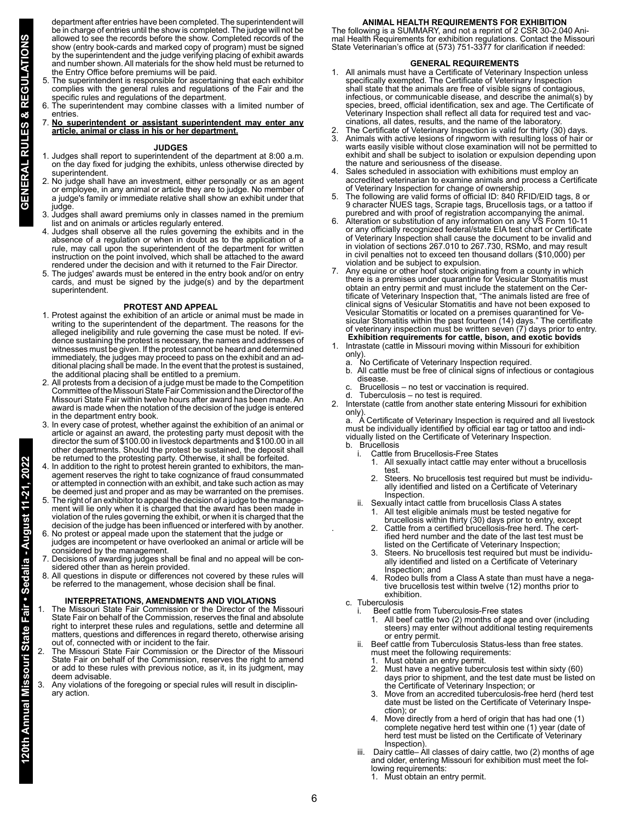department after entries have been completed. The superintendent will be in charge of entries until the show is completed. The judge will not be allowed to see the records before the show. Completed records of the show (entry book-cards and marked copy of program) must be signed by the superintendent and the judge verifying placing of exhibit awards and number shown. All materials for the show held must be returned to the Entry Office before premiums will be paid.

- 5. The superintendent is responsible for ascertaining that each exhibitor complies with the general rules and regulations of the Fair and the specific rules and regulations of the department.
- 6. The superintendent may combine classes with a limited number of entries.
- 7. **No superintendent or assistant superintendent may enter any article, animal or class in his or her department.**

### **JUDGES**

- 1. Judges shall report to superintendent of the department at 8:00 a.m. on the day fixed for judging the exhibits, unless otherwise directed by superintendent.
- 2. No judge shall have an investment, either personally or as an agent or employee, in any animal or article they are to judge. No member of a judge's family or immediate relative shall show an exhibit under that judge.
- 3. Judges shall award premiums only in classes named in the premium list and on animals or articles regularly entered.
- 4. Judges shall observe all the rules governing the exhibits and in the absence of a regulation or when in doubt as to the application of a rule, may call upon the superintendent of the department for written instruction on the point involved, which shall be attached to the award rendered under the decision and with it returned to the Fair Director.
- 5. The judges' awards must be entered in the entry book and/or on entry cards, and must be signed by the judge(s) and by the department superintendent.

### **PROTEST AND APPEAL**

- 1. Protest against the exhibition of an article or animal must be made in writing to the superintendent of the department. The reasons for the alleged ineligibility and rule governing the case must be noted. If evidence sustaining the protest is necessary, the names and addresses of witnesses must be given. If the protest cannot be heard and determined immediately, the judges may proceed to pass on the exhibit and an additional placing shall be made. In the event that the protest is sustained, the additional placing shall be entitled to a premium.
- 2. All protests from a decision of a judge must be made to the Competition Committee of the Missouri State Fair Commission and the Director of the Missouri State Fair within twelve hours after award has been made. An award is made when the notation of the decision of the judge is entered in the department entry book.
- 3. In every case of protest, whether against the exhibition of an animal or article or against an award, the protesting party must deposit with the director the sum of \$100.00 in livestock departments and \$100.00 in all other departments. Should the protest be sustained, the deposit shall be returned to the protesting party. Otherwise, it shall be forfeited.
- 4. In addition to the right to protest herein granted to exhibitors, the management reserves the right to take cognizance of fraud consummated or attempted in connection with an exhibit, and take such action as may be deemed just and proper and as may be warranted on the premises.
- 5. The right of an exhibitor to appeal the decision of a judge to the management will lie only when it is charged that the award has been made in violation of the rules governing the exhibit, or when it is charged that the decision of the judge has been influenced or interfered with by another. 6. No protest or appeal made upon the statement that the judge or
- judges are incompetent or have overlooked an animal or article will be considered by the management.
- 7. Decisions of awarding judges shall be final and no appeal will be considered other than as herein provided.
- 8. All questions in dispute or differences not covered by these rules will be referred to the management, whose decision shall be final.

## **INTERPRETATIONS, AMENDMENTS AND VIOLATIONS**

- The Missouri State Fair Commission or the Director of the Missouri State Fair on behalf of the Commission, reserves the final and absolute right to interpret these rules and regulations, settle and determine all matters, questions and differences in regard thereto, otherwise arising out of, connected with or incident to the fair.
- 2. The Missouri State Fair Commission or the Director of the Missouri State Fair on behalf of the Commission, reserves the right to amend or add to these rules with previous notice, as it, in its judgment, may deem advisable.
- Any violations of the foregoing or special rules will result in disciplinary action.

**ANIMAL HEALTH REQUIREMENTS FOR EXHIBITION** The following is a SUMMARY, and not a reprint of 2 CSR 30-2.040 Animal Health Requirements for exhibition regulations. Contact the Missouri State Veterinarian's office at (573) 751-3377 for clarification if needed:

# **GENERAL REQUIREMENTS**

- 1. All animals must have a Certificate of Veterinary Inspection unless specifically exempted. The Certificate of Veterinary Inspection shall state that the animals are free of visible signs of contagious, infectious, or communicable disease, and describe the animal(s) by species, breed, official identification, sex and age. The Certificate of Veterinary Inspection shall reflect all data for required test and vaccinations, all dates, results, and the name of the laboratory.
- 2. The Certificate of Veterinary Inspection is valid for thirty (30) days.
- 3. Animals with active lesions of ringworm with resulting loss of hair or warts easily visible without close examination will not be permitted to exhibit and shall be subject to isolation or expulsion depending upon the nature and seriousness of the disease.
- Sales scheduled in association with exhibitions must employ an accredited veterinarian to examine animals and process a Certificate of Veterinary Inspection for change of ownership.
- 5. The following are valid forms of official ID: 840 RFID/EID tags, 8 or 9 character NUES tags, Scrapie tags, Brucellosis tags, or a tattoo if purebred and with proof of registration accompanying the animal.
- 6. Alteration or substitution of any information on any VS Form 10-11 or any officially recognized federal/state EIA test chart or Certificate of Veterinary Inspection shall cause the document to be invalid and in violation of sections 267.010 to 267.730, RSMo, and may result in civil penalties not to exceed ten thousand dollars (\$10,000) per violation and be subject to expulsion.
- 7. Any equine or other hoof stock originating from a county in which there is a premises under quarantine for Vesicular Stomatitis must obtain an entry permit and must include the statement on the Certificate of Veterinary Inspection that, "The animals listed are free of clinical signs of Vesicular Stomatitis and have not been exposed to Vesicular Stomatitis or located on a premises quarantined for Vesicular Stomatitis within the past fourteen (14) days." The certificate of veterinary inspection must be written seven (7) days prior to entry. **Exhibition requirements for cattle, bison, and exotic bovids**
- 1. Intrastate (cattle in Missouri moving within Missouri for exhibition only).
	-
	- a. No Certificate of Veterinary Inspection required.<br>b. All cattle must be free of clinical signs of infection b. All cattle must be free of clinical signs of infectious or contagious disease.
	- Brucellosis no test or vaccination is required.
	- d. Tuberculosis no test is required.
- 2. Interstate (cattle from another state entering Missouri for exhibition only).

a. A Certificate of Veterinary Inspection is required and all livestock must be individually identified by official ear tag or tattoo and individually listed on the Certificate of Veterinary Inspection. b. Brucellosis

- - Cattle from Brucellosis-Free States<br>1. All sexually intact cattle may en All sexually intact cattle may enter without a brucellosis test.
	- Steers. No brucellosis test required but must be individually identified and listed on a Certificate of Veterinary Inspection.
- ii. Sexually intact cattle from brucellosis Class A states
- All test eligible animals must be tested negative for brucellosis within thirty (30) days prior to entry, except
- . 2. Cattle from a certified brucellosis-free herd. The certified herd number and the date of the last test must be listed on the Certificate of Veterinary Inspection;
	- Steers. No brucellosis test required but must be individually identified and listed on a Certificate of Veterinary Inspection; and
- 4. Rodeo bulls from a Class A state than must have a nega tive brucellosis test within twelve (12) months prior to exhibition.
	- c. Tuberculosis
		- Beef cattle from Tuberculosis-Free states<br>1. All beef cattle two (2) months of age at
			- All beef cattle two (2) months of age and over (including steers) may enter without additional testing requirements or entry permit.
		- ii. Beef cattle from Tuberculosis Status-less than free states. must meet the following requirements:
			- 1. Must obtain an entry permit.
			- 2. Must have a negative tuberculosis test within sixty (60) days prior to shipment, and the test date must be listed on the Certificate of Veterinary Inspection; or
			- Move from an accredited tuberculosis-free herd (herd test date must be listed on the Certificate of Veterinary Inspe ction); or
			- Move directly from a herd of origin that has had one  $(1)$  complete negative herd test within one (1) year (date of herd test must be listed on the Certificate of Veterinary Inspection).
		- iii. Dairy cattle– All classes of dairy cattle, two (2) months of age and older, entering Missouri for exhibition must meet the following requirements:
			- 1. Must obtain an entry permit.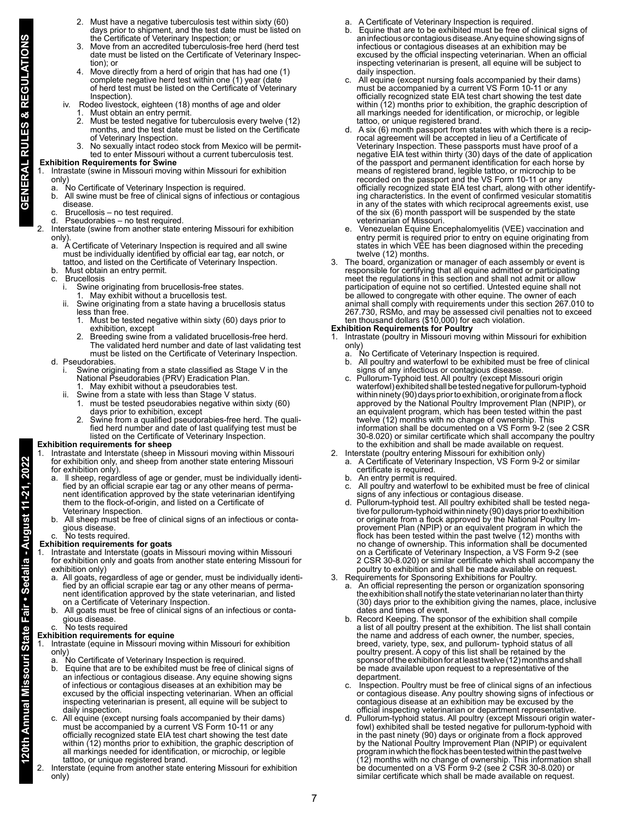- Must have a negative tuberculosis test within sixty (60) days prior to shipment, and the test date must be listed on the Certificate of Veterinary Inspection; or
- 3. Move from an accredited tuberculosis-free herd (herd test date must be listed on the Certificate of Veterinary Inspec tion); or<br>4 Move di
- 4. Move directly from a herd of origin that has had one (1) complete negative herd test within one (1) year (date of herd test must be listed on the Certificate of Veterinary **Inspection**).
- iv. Rodeo livestock, eighteen (18) months of age and older
- 1. Must obtain an entry permit.<br>2. Must be tested negative for 2. Must be tested negative for tuberculosis every twelve (12) months, and the test date must be listed on the Certificate of Veterinary Inspection.
	- No sexually intact rodeo stock from Mexico will be permitted to enter Missouri without a current tuberculosis test.

# **Exhibition Requirements for Swine**

1. Intrastate (swine in Missouri moving within Missouri for exhibition only)

- a. No Certificate of Veterinary Inspection is required.<br>b. All swine must be free of clinical signs of infectious
- b. All swine must be free of clinical signs of infectious or contagious disease.
- Brucellosis no test required.
- Pseudorabies no test required.
- 2. Interstate (swine from another state entering Missouri for exhibition only)<br>a. A
	- a. A Certificate of Veterinary Inspection is required and all swine must be individually identified by official ear tag, ear notch, or tattoo, and listed on the Certificate of Veterinary Inspection.
	- Must obtain an entry permit.
	- Brucellosis<br>i. Swine o
		- Swine originating from brucellosis-free states.
		- May exhibit without a brucellosis test.
		- Swine originating from a state having a brucellosis status less than free.
		- 1. Must be tested negative within sixty (60) days prior to exhibition, except
- Breeding swine from a validated brucellosis-free herd. The validated herd number and date of last validating test must be listed on the Certificate of Veterinary Inspection.
	- d. Pseudorabies.
- i. Swine originating from a state classified as Stage V in the National Pseudorabies (PRV) Eradication Plan.
- 1. May exhibit without a pseudorabies test.
- ii. Swine from a state with less than Stage V status. 1. must be tested pseudorabies negative within sixty (60)
	- days prior to exhibition, except<br>2. Swine from a qualified pseudor 2. Swine from a qualified pseudorabies-free herd. The qualified herd number and date of last qualifying test must be listed on the Certificate of Veterinary Inspection.

# **Exhibition requirements for sheep**

- 1. Intrastate and Interstate (sheep in Missouri moving within Missouri
- for exhibition only, and sheep from another state entering Missouri
- for exhibition only).<br>a. Il sheep, regard a. ll sheep, regardless of age or gender, must be individually identified by an official scrapie ear tag or any other means of permanent identification approved by the state veterinarian identifying them to the flock-of-origin, and listed on a Certificate of Veterinary Inspection.
- All sheep must be free of clinical signs of an infectious or contagious disease.

# wo tests required.

# **Exhibition requirements for goats**

- Intrastate and Interstate (goats in Missouri moving within Missouri for exhibition only and goats from another state entering Missouri for exhibition only)
	- a. All goats, regardless of age or gender, must be individually identified by an official scrapie ear tag or any other means of permanent identification approved by the state veterinarian, and listed on a Certificate of Veterinary Inspection.
	- b. All goats must be free of clinical signs of an infectious or contagious disease.
	- c. No tests required

# **Exhibition requirements for equine**

Intrastate (equine in Missouri moving within Missouri for exhibition only)

- a. No Certificate of Veterinary Inspection is required.
- **120th Annual Missouri State Fair Sedalia August 11-21, 2022** 2. Must have a negative tuberculosis test within sixty (60) b. Equine that are to be exhibited must be free of clinical signs of an infectious or contagious disease. Any equine showing signs of infectious or contagious diseases at an exhibition may be excused by the official inspecting veterinarian. When an official inspecting veterinarian is present, all equine will be subject to daily inspection.
	- c. All equine (except nursing foals accompanied by their dams) must be accompanied by a current VS Form 10-11 or any officially recognized state EIA test chart showing the test date within (12) months prior to exhibition, the graphic description of all markings needed for identification, or microchip, or legible tattoo, or unique registered brand.
	- Interstate (equine from another state entering Missouri for exhibition only)
- a. A Certificate of Veterinary Inspection is required.
- b. Equine that are to be exhibited must be free of clinical signs of an infectious or contagious disease. Any equine showing signs of infectious or contagious diseases at an exhibition may be excused by the official inspecting veterinarian. When an official inspecting veterinarian is present, all equine will be subject to daily inspection.
- c. All equine (except nursing foals accompanied by their dams) must be accompanied by a current VS Form 10-11 or any officially recognized state EIA test chart showing the test date within (12) months prior to exhibition, the graphic description of all markings needed for identification, or microchip, or legible tattoo, or unique registered brand.
- d. A six (6) month passport from states with which there is a reciprocal agreement will be accepted in lieu of a Certificate of Veterinary Inspection. These passports must have proof of a negative EIA test within thirty (30) days of the date of application of the passport and permanent identification for each horse by means of registered brand, legible tattoo, or microchip to be recorded on the passport and the VS Form 10-11 or any officially recognized state EIA test chart, along with other identifying characteristics. In the event of confirmed vesicular stomatitis in any of the states with which reciprocal agreements exist, use of the six (6) month passport will be suspended by the state veterinarian of Missouri.
	- e. Venezuelan Equine Encephalomyelitis (VEE) vaccination and entry permit is required prior to entry on equine originating from states in which VEE has been diagnosed within the preceding twelve (12) months.
- 3. The board, organization or manager of each assembly or event is responsible for certifying that all equine admitted or participating meet the regulations in this section and shall not admit or allow participation of equine not so certified. Untested equine shall not be allowed to congregate with other equine. The owner of each animal shall comply with requirements under this section 267.010 to 267.730, RSMo, and may be assessed civil penalties not to exceed ten thousand dollars (\$10,000) for each violation.

# **Exhibition Requirements for Poultry**

- 1. Intrastate (poultry in Missouri moving within Missouri for exhibition only)
	- a. No Certificate of Veterinary Inspection is required.
	- b. All poultry and waterfowl to be exhibited must be free of clinical signs of any infectious or contagious disease.
	- c. Pullorum-Typhoid test. All poultry (except Missouri origin waterfowl) exhibited shall be tested negative for pullorum-typhoid within ninety (90) days prior to exhibition, or originate from a flock approved by the National Poultry Improvement Plan (NPIP), or an equivalent program, which has been tested within the past twelve (12) months with no change of ownership. This information shall be documented on a VS Form 9-2 (see 2 CSR 30-8.020) or similar certificate which shall accompany the poultry to the exhibition and shall be made available on request.
- 2. Interstate (poultry entering Missouri for exhibition only) a. A Certificate of Veterinary Inspection, VS Form 9-2 or similar certificate is required.
	- b. An entry permit is required.
	- c. All poultry and waterfowl to be exhibited must be free of clinical signs of any infectious or contagious disease.
	- d. Pullorum-typhoid test. All poultry exhibited shall be tested negative for pullorum-typhoid within ninety (90) days prior to exhibition or originate from a flock approved by the National Poultry Improvement Plan (NPIP) or an equivalent program in which the flock has been tested within the past twelve (12) months with no change of ownership. This information shall be documented on a Certificate of Veterinary Inspection, a VS Form 9-2 (see 2 CSR 30-8.020) or similar certificate which shall accompany the poultry to exhibition and shall be made available on request.
- 3. Requirements for Sponsoring Exhibitions for Poultry.
	- a. An official representing the person or organization sponsoring the exhibition shall notify the state veterinarian no later than thirty (30) days prior to the exhibition giving the names, place, inclusive dates and times of event.
	- b. Record Keeping. The sponsor of the exhibition shall compile a list of all poultry present at the exhibition. The list shall contain the name and address of each owner, the number, species, breed, variety, type, sex, and pullorum- typhoid status of all poultry present. A copy of this list shall be retained by the sponsor of the exhibition for at least twelve (12) months and shall be made available upon request to a representative of the department.
	- c. Inspection. Poultry must be free of clinical signs of an infectious or contagious disease. Any poultry showing signs of infectious or contagious disease at an exhibition may be excused by the official inspecting veterinarian or department representative.
	- d. Pullorum-typhoid status. All poultry (except Missouri origin waterfowl) exhibited shall be tested negative for pullorum-typhoid with in the past ninety (90) days or originate from a flock approved by the National Poultry Improvement Plan (NPIP) or equivalent program in which the flock has been tested within the past twelve  $(12)$  months with no change of ownership. This information shall be documented on a VS Form 9-2 (see 2 CSR 30-8.020) or similar certificate which shall be made available on request.